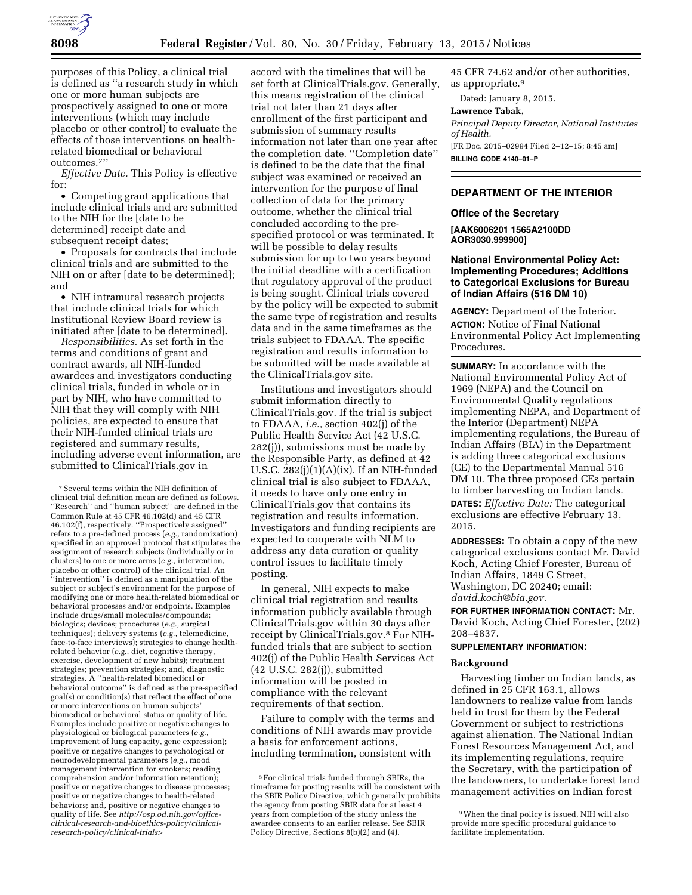

purposes of this Policy, a clinical trial is defined as ''a research study in which one or more human subjects are prospectively assigned to one or more interventions (which may include placebo or other control) to evaluate the effects of those interventions on healthrelated biomedical or behavioral outcomes.7''

*Effective Date.* This Policy is effective for:

• Competing grant applications that include clinical trials and are submitted to the NIH for the [date to be determined] receipt date and subsequent receipt dates;

• Proposals for contracts that include clinical trials and are submitted to the NIH on or after [date to be determined]; and

• NIH intramural research projects that include clinical trials for which Institutional Review Board review is initiated after [date to be determined].

*Responsibilities.* As set forth in the terms and conditions of grant and contract awards, all NIH-funded awardees and investigators conducting clinical trials, funded in whole or in part by NIH, who have committed to NIH that they will comply with NIH policies, are expected to ensure that their NIH-funded clinical trials are registered and summary results, including adverse event information, are submitted to ClinicalTrials.gov in

accord with the timelines that will be set forth at ClinicalTrials.gov. Generally, this means registration of the clinical trial not later than 21 days after enrollment of the first participant and submission of summary results information not later than one year after the completion date. ''Completion date'' is defined to be the date that the final subject was examined or received an intervention for the purpose of final collection of data for the primary outcome, whether the clinical trial concluded according to the prespecified protocol or was terminated. It will be possible to delay results submission for up to two years beyond the initial deadline with a certification that regulatory approval of the product is being sought. Clinical trials covered by the policy will be expected to submit the same type of registration and results data and in the same timeframes as the trials subject to FDAAA. The specific registration and results information to be submitted will be made available at the ClinicalTrials.gov site.

Institutions and investigators should submit information directly to ClinicalTrials.gov. If the trial is subject to FDAAA, *i.e.,* section 402(j) of the Public Health Service Act (42 U.S.C. 282(j)), submissions must be made by the Responsible Party, as defined at 42 U.S.C. 282(j)(1)(A)(ix). If an NIH-funded clinical trial is also subject to FDAAA, it needs to have only one entry in ClinicalTrials.gov that contains its registration and results information. Investigators and funding recipients are expected to cooperate with NLM to address any data curation or quality control issues to facilitate timely posting.

In general, NIH expects to make clinical trial registration and results information publicly available through ClinicalTrials.gov within 30 days after receipt by ClinicalTrials.gov.8 For NIHfunded trials that are subject to section 402(j) of the Public Health Services Act (42 U.S.C. 282(j)), submitted information will be posted in compliance with the relevant requirements of that section.

Failure to comply with the terms and conditions of NIH awards may provide a basis for enforcement actions, including termination, consistent with

45 CFR 74.62 and/or other authorities, as appropriate.9

Dated: January 8, 2015.

### **Lawrence Tabak,**

*Principal Deputy Director, National Institutes of Health.* 

[FR Doc. 2015–02994 Filed 2–12–15; 8:45 am] **BILLING CODE 4140–01–P** 

## **DEPARTMENT OF THE INTERIOR**

#### **Office of the Secretary**

**[AAK6006201 1565A2100DD AOR3030.999900]** 

# **National Environmental Policy Act: Implementing Procedures; Additions to Categorical Exclusions for Bureau of Indian Affairs (516 DM 10)**

**AGENCY:** Department of the Interior. **ACTION:** Notice of Final National Environmental Policy Act Implementing Procedures.

**SUMMARY:** In accordance with the National Environmental Policy Act of 1969 (NEPA) and the Council on Environmental Quality regulations implementing NEPA, and Department of the Interior (Department) NEPA implementing regulations, the Bureau of Indian Affairs (BIA) in the Department is adding three categorical exclusions (CE) to the Departmental Manual 516 DM 10. The three proposed CEs pertain to timber harvesting on Indian lands. **DATES:** *Effective Date:* The categorical exclusions are effective February 13, 2015.

**ADDRESSES:** To obtain a copy of the new categorical exclusions contact Mr. David Koch, Acting Chief Forester, Bureau of Indian Affairs, 1849 C Street, Washington, DC 20240; email: *[david.koch@bia.gov.](mailto:david.koch@bia.gov)* 

**FOR FURTHER INFORMATION CONTACT:** Mr. David Koch, Acting Chief Forester, (202) 208–4837.

# **SUPPLEMENTARY INFORMATION:**

### **Background**

Harvesting timber on Indian lands, as defined in 25 CFR 163.1, allows landowners to realize value from lands held in trust for them by the Federal Government or subject to restrictions against alienation. The National Indian Forest Resources Management Act, and its implementing regulations, require the Secretary, with the participation of the landowners, to undertake forest land management activities on Indian forest

<sup>7</sup>Several terms within the NIH definition of clinical trial definition mean are defined as follows. ''Research'' and ''human subject'' are defined in the Common Rule at 45 CFR 46.102(d) and 45 CFR 46.102(f), respectively. ''Prospectively assigned'' refers to a pre-defined process (*e.g.,* randomization) specified in an approved protocol that stipulates the assignment of research subjects (individually or in clusters) to one or more arms (*e.g.,* intervention, placebo or other control) of the clinical trial. An 'intervention'' is defined as a manipulation of the subject or subject's environment for the purpose of modifying one or more health-related biomedical or behavioral processes and/or endpoints. Examples include drugs/small molecules/compounds; biologics; devices; procedures (*e.g.,* surgical techniques); delivery systems (*e.g.,* telemedicine, face-to-face interviews); strategies to change healthrelated behavior (*e.g.,* diet, cognitive therapy, exercise, development of new habits); treatment strategies; prevention strategies; and, diagnostic strategies. A ''health-related biomedical or behavioral outcome'' is defined as the pre-specified goal(s) or condition(s) that reflect the effect of one or more interventions on human subjects' biomedical or behavioral status or quality of life. Examples include positive or negative changes to physiological or biological parameters (*e.g.,*  improvement of lung capacity, gene expression); positive or negative changes to psychological or neurodevelopmental parameters (*e.g.,* mood management intervention for smokers; reading comprehension and/or information retention); positive or negative changes to disease process positive or negative changes to health-related behaviors; and, positive or negative changes to quality of life. See *[http://osp.od.nih.gov/office](http://osp.od.nih.gov/office-clinical-research-and-bioethics-policy/clinical-research-policy/clinical-trials)[clinical-research-and-bioethics-policy/clinical](http://osp.od.nih.gov/office-clinical-research-and-bioethics-policy/clinical-research-policy/clinical-trials)[research-policy/clinical-trials](http://osp.od.nih.gov/office-clinical-research-and-bioethics-policy/clinical-research-policy/clinical-trials)*>

<sup>8</sup>For clinical trials funded through SBIRs, the timeframe for posting results will be consistent with the SBIR Policy Directive, which generally prohibits the agency from posting SBIR data for at least 4 years from completion of the study unless the awardee consents to an earlier release. See SBIR Policy Directive, Sections 8(b)(2) and (4).

<sup>9</sup>When the final policy is issued, NIH will also provide more specific procedural guidance to facilitate implementation.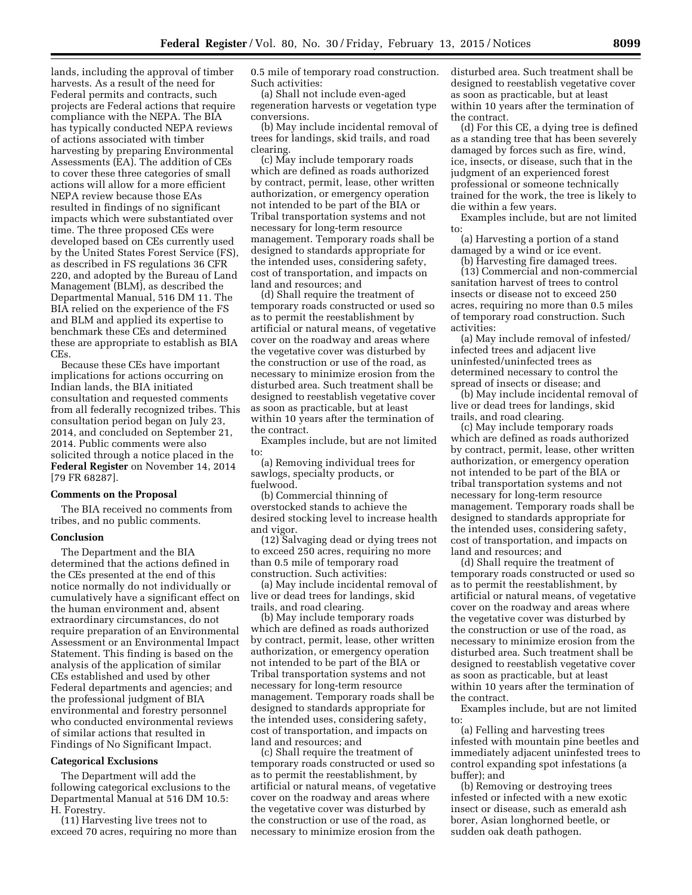lands, including the approval of timber harvests. As a result of the need for Federal permits and contracts, such projects are Federal actions that require compliance with the NEPA. The BIA has typically conducted NEPA reviews of actions associated with timber harvesting by preparing Environmental Assessments (EA). The addition of CEs to cover these three categories of small actions will allow for a more efficient NEPA review because those EAs resulted in findings of no significant impacts which were substantiated over time. The three proposed CEs were developed based on CEs currently used by the United States Forest Service (FS), as described in FS regulations 36 CFR 220, and adopted by the Bureau of Land Management (BLM), as described the Departmental Manual, 516 DM 11. The BIA relied on the experience of the FS and BLM and applied its expertise to benchmark these CEs and determined these are appropriate to establish as BIA CEs.

Because these CEs have important implications for actions occurring on Indian lands, the BIA initiated consultation and requested comments from all federally recognized tribes. This consultation period began on July 23, 2014, and concluded on September 21, 2014. Public comments were also solicited through a notice placed in the **Federal Register** on November 14, 2014 [79 FR 68287].

### **Comments on the Proposal**

The BIA received no comments from tribes, and no public comments.

#### **Conclusion**

The Department and the BIA determined that the actions defined in the CEs presented at the end of this notice normally do not individually or cumulatively have a significant effect on the human environment and, absent extraordinary circumstances, do not require preparation of an Environmental Assessment or an Environmental Impact Statement. This finding is based on the analysis of the application of similar CEs established and used by other Federal departments and agencies; and the professional judgment of BIA environmental and forestry personnel who conducted environmental reviews of similar actions that resulted in Findings of No Significant Impact.

#### **Categorical Exclusions**

The Department will add the following categorical exclusions to the Departmental Manual at 516 DM 10.5: H. Forestry.

(11) Harvesting live trees not to exceed 70 acres, requiring no more than 0.5 mile of temporary road construction. Such activities:

(a) Shall not include even-aged regeneration harvests or vegetation type conversions.

(b) May include incidental removal of trees for landings, skid trails, and road clearing.

(c) May include temporary roads which are defined as roads authorized by contract, permit, lease, other written authorization, or emergency operation not intended to be part of the BIA or Tribal transportation systems and not necessary for long-term resource management. Temporary roads shall be designed to standards appropriate for the intended uses, considering safety, cost of transportation, and impacts on land and resources; and

(d) Shall require the treatment of temporary roads constructed or used so as to permit the reestablishment by artificial or natural means, of vegetative cover on the roadway and areas where the vegetative cover was disturbed by the construction or use of the road, as necessary to minimize erosion from the disturbed area. Such treatment shall be designed to reestablish vegetative cover as soon as practicable, but at least within 10 years after the termination of the contract.

Examples include, but are not limited to:

(a) Removing individual trees for sawlogs, specialty products, or fuelwood.

(b) Commercial thinning of overstocked stands to achieve the desired stocking level to increase health and vigor.

(12) Salvaging dead or dying trees not to exceed 250 acres, requiring no more than 0.5 mile of temporary road construction. Such activities:

(a) May include incidental removal of live or dead trees for landings, skid trails, and road clearing.

(b) May include temporary roads which are defined as roads authorized by contract, permit, lease, other written authorization, or emergency operation not intended to be part of the BIA or Tribal transportation systems and not necessary for long-term resource management. Temporary roads shall be designed to standards appropriate for the intended uses, considering safety, cost of transportation, and impacts on land and resources; and

(c) Shall require the treatment of temporary roads constructed or used so as to permit the reestablishment, by artificial or natural means, of vegetative cover on the roadway and areas where the vegetative cover was disturbed by the construction or use of the road, as necessary to minimize erosion from the

disturbed area. Such treatment shall be designed to reestablish vegetative cover as soon as practicable, but at least within 10 years after the termination of the contract.

(d) For this CE, a dying tree is defined as a standing tree that has been severely damaged by forces such as fire, wind, ice, insects, or disease, such that in the judgment of an experienced forest professional or someone technically trained for the work, the tree is likely to die within a few years.

Examples include, but are not limited to:

(a) Harvesting a portion of a stand damaged by a wind or ice event.

(b) Harvesting fire damaged trees.

(13) Commercial and non-commercial sanitation harvest of trees to control insects or disease not to exceed 250 acres, requiring no more than 0.5 miles of temporary road construction. Such activities:

(a) May include removal of infested/ infected trees and adjacent live uninfested/uninfected trees as determined necessary to control the spread of insects or disease; and

(b) May include incidental removal of live or dead trees for landings, skid trails, and road clearing.

(c) May include temporary roads which are defined as roads authorized by contract, permit, lease, other written authorization, or emergency operation not intended to be part of the BIA or tribal transportation systems and not necessary for long-term resource management. Temporary roads shall be designed to standards appropriate for the intended uses, considering safety, cost of transportation, and impacts on land and resources; and

(d) Shall require the treatment of temporary roads constructed or used so as to permit the reestablishment, by artificial or natural means, of vegetative cover on the roadway and areas where the vegetative cover was disturbed by the construction or use of the road, as necessary to minimize erosion from the disturbed area. Such treatment shall be designed to reestablish vegetative cover as soon as practicable, but at least within 10 years after the termination of the contract.

Examples include, but are not limited to:

(a) Felling and harvesting trees infested with mountain pine beetles and immediately adjacent uninfested trees to control expanding spot infestations (a buffer); and

(b) Removing or destroying trees infested or infected with a new exotic insect or disease, such as emerald ash borer, Asian longhorned beetle, or sudden oak death pathogen.